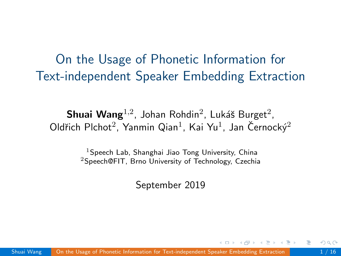# <span id="page-0-0"></span>On the Usage of Phonetic Information for Text-independent Speaker Embedding Extraction

 $\mathsf{Shuai\ Wang}^{1,2}$ , Johan Rohdin<sup>2</sup>, Lukáš Burget<sup>2</sup>, Oldřich Plchot<sup>2</sup>, Yanmin Qian<sup>1</sup>, Kai Yu<sup>1</sup>, Jan Černocký<sup>2</sup>

> $1$ Speech Lab, Shanghai Jiao Tong University, China <sup>2</sup>Speech@FIT, Brno University of Technology, Czechia

> > September 2019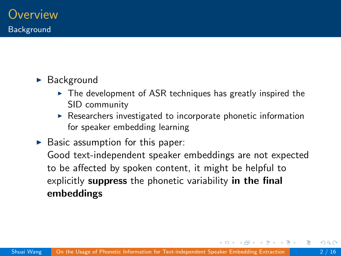#### $\blacktriangleright$  Background

- $\triangleright$  The development of ASR techniques has greatly inspired the SID community
- $\triangleright$  Researchers investigated to incorporate phonetic information for speaker embedding learning

 $\triangleright$  Basic assumption for this paper: Good text-independent speaker embeddings are not expected to be affected by spoken content, it might be helpful to explicitly suppress the phonetic variability in the final embeddings

∢何 ▶ ∢ ヨ ▶ ∢ ヨ ▶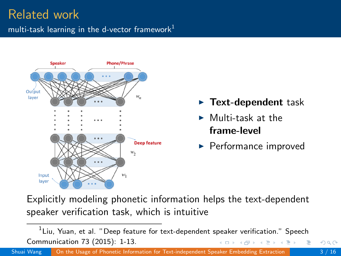### Related work multi-task learning in the d-vector framework $1$



- $\blacktriangleright$  Text-dependent task
- $\blacktriangleright$  Multi-task at the frame-level
- $\blacktriangleright$  Performance improved

Explicitly modeling phonetic information helps the text-dependent speaker verification task, which is intuitive

 $^1$ Liu, Yuan, et al. "Deep feature for text-dependent speaker verification." Speech Communication 73 (2015): 1-13. 4. 17. 18.  $\rightarrow$   $\overline{m}$   $\rightarrow$   $\rightarrow$   $\overline{m}$   $\rightarrow$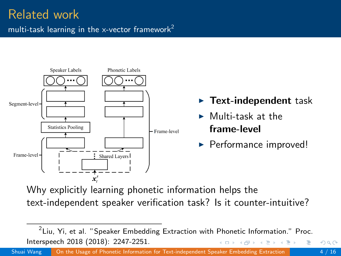

Why explicitly learning phonetic information helps the text-independent speaker verification task? Is it counter-intuitive?

 $^2$ Liu, Yi, et al. "Speaker Embedding Extraction with Phonetic Information." Proc. Interspeech 2018 (2018): 2247-2251.  $-1$   $-1$  $\leftarrow$   $\overline{m}$   $\rightarrow$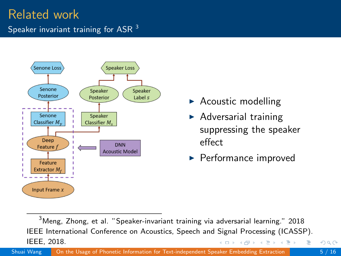# Related work

Speaker invariant training for ASR<sup>3</sup>



- $\blacktriangleright$  Acoustic modelling
- $\blacktriangleright$  Adversarial training suppressing the speaker effect
- $\blacktriangleright$  Performance improved

 $3$ Meng, Zhong, et al. "Speaker-invariant training via adversarial learning." 2018 IEEE International Conference on Acoustics, Speech and Signal Processing (ICASSP). IEEE, 2018.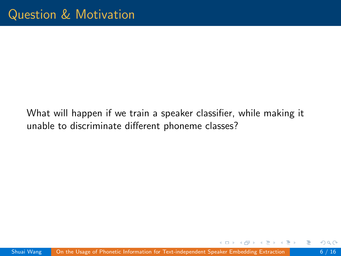What will happen if we train a speaker classifier, while making it unable to discriminate different phoneme classes?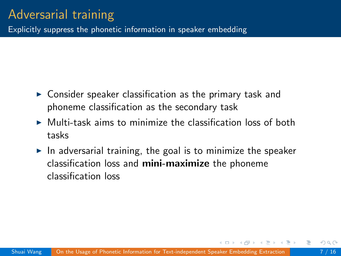Explicitly suppress the phonetic information in speaker embedding

- $\triangleright$  Consider speaker classification as the primary task and phoneme classification as the secondary task
- $\triangleright$  Multi-task aims to minimize the classification loss of both tasks
- $\blacktriangleright$  In adversarial training, the goal is to minimize the speaker classification loss and mini-maximize the phoneme classification loss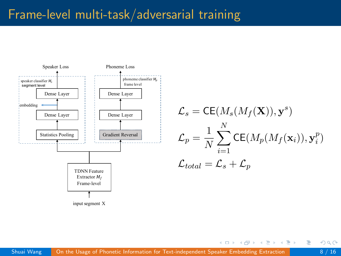### Frame-level multi-task/adversarial training



$$
\mathcal{L}_s = \text{CE}(M_s(M_f(\mathbf{X})), \mathbf{y}^s)
$$

$$
\mathcal{L}_p = \frac{1}{N} \sum_{i=1}^N \text{CE}(M_p(M_f(\mathbf{x}_i)), \mathbf{y}_i^p)
$$

$$
\mathcal{L}_{total} = \mathcal{L}_s + \mathcal{L}_p
$$

イロト イ押ト イミト イミト

 $\Omega$ 

э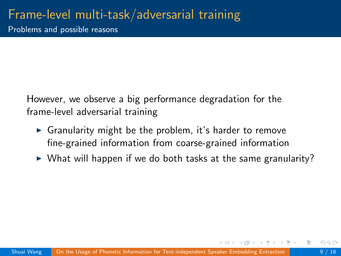Problems and possible reasons

However, we observe a big performance degradation for the frame-level adversarial training

- $\triangleright$  Granularity might be the problem, it's harder to remove fine-grained information from coarse-grained information
- $\triangleright$  What will happen if we do both tasks at the same granularity?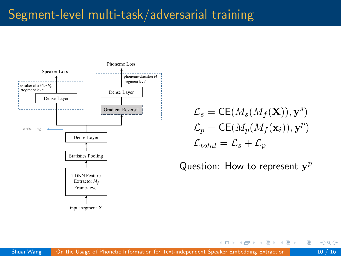# Segment-level multi-task/adversarial training



$$
\mathcal{L}_s = \text{CE}(M_s(M_f(\mathbf{X})), \mathbf{y}^s)
$$

$$
\mathcal{L}_p = \text{CE}(M_p(M_f(\mathbf{x}_i)), \mathbf{y}^p)
$$

$$
\mathcal{L}_{total} = \mathcal{L}_s + \mathcal{L}_p
$$

Question: How to represent  $y^p$ 

イロト イ押ト イミト イミト

э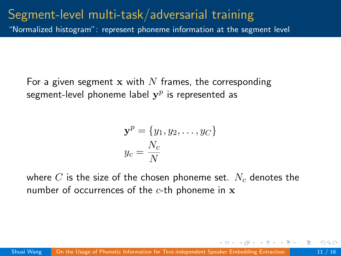## Segment-level multi-task/adversarial training

"Normalized histogram": represent phoneme information at the segment level

For a given segment x with N frames, the corresponding segment-level phoneme label  $\mathbf{y}^p$  is represented as

$$
\mathbf{y}^p = \{y_1, y_2, \dots, y_C\}
$$

$$
y_c = \frac{N_c}{N}
$$

where C is the size of the chosen phoneme set.  $N_c$  denotes the number of occurrences of the  $c$ -th phoneme in  $x$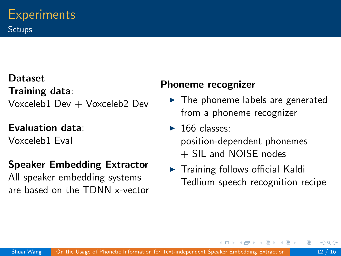### **Dataset** Training data: Voxceleb1 Dev + Voxceleb2 Dev

### Evaluation data:

Voxceleb1 Eval

### Speaker Embedding Extractor

All speaker embedding systems are based on the TDNN x-vector

#### Phoneme recognizer

- $\blacktriangleright$  The phoneme labels are generated from a phoneme recognizer
- $\blacktriangleright$  166 classes: position-dependent phonemes  $+$  SIL and NOISE nodes
- $\blacktriangleright$  Training follows official Kaldi Tedlium speech recognition recipe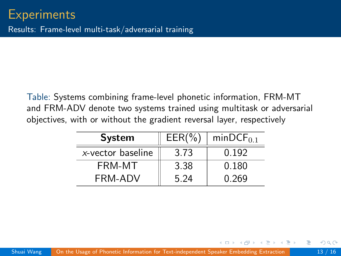Table: Systems combining frame-level phonetic information, FRM-MT and FRM-ADV denote two systems trained using multitask or adversarial objectives, with or without the gradient reversal layer, respectively

| <b>System</b>     | $EER(\% )$ | $minDCF_{0.1}$ |
|-------------------|------------|----------------|
| x-vector baseline | 3.73       | በ 192          |
| FRM-MT            | 3.38       | 0.180          |
| FRM-ADV           | 5 24       | 0.269          |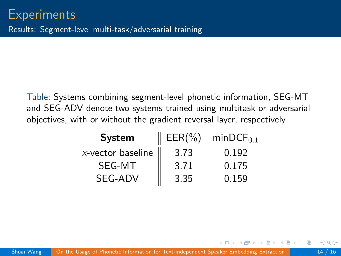Table: Systems combining segment-level phonetic information, SEG-MT and SEG-ADV denote two systems trained using multitask or adversarial objectives, with or without the gradient reversal layer, respectively

| <b>System</b>     | $EER(\% )$ | $minDCF_{0.1}$ |
|-------------------|------------|----------------|
| x-vector baseline | 3.73       | 0.192          |
| SEG-MT            | 3.71       | 0.175          |
| SEG-ADV           | 3.35       | 0.159          |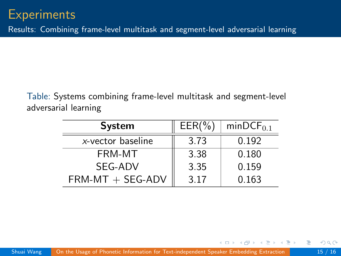Table: Systems combining frame-level multitask and segment-level adversarial learning

| <b>System</b>      | $EER(\% )$ | $minDCF_{0.1}$ |
|--------------------|------------|----------------|
| x-vector baseline  | 3.73       | 0.192          |
| FRM-MT             | 3.38       | 0.180          |
| SEG-ADV            | 3.35       | 0.159          |
| $FRM-MT + SEG-ADV$ | 3.17       | 0.163          |

э

A + + = + + = +

 $\leftarrow$   $\Box$